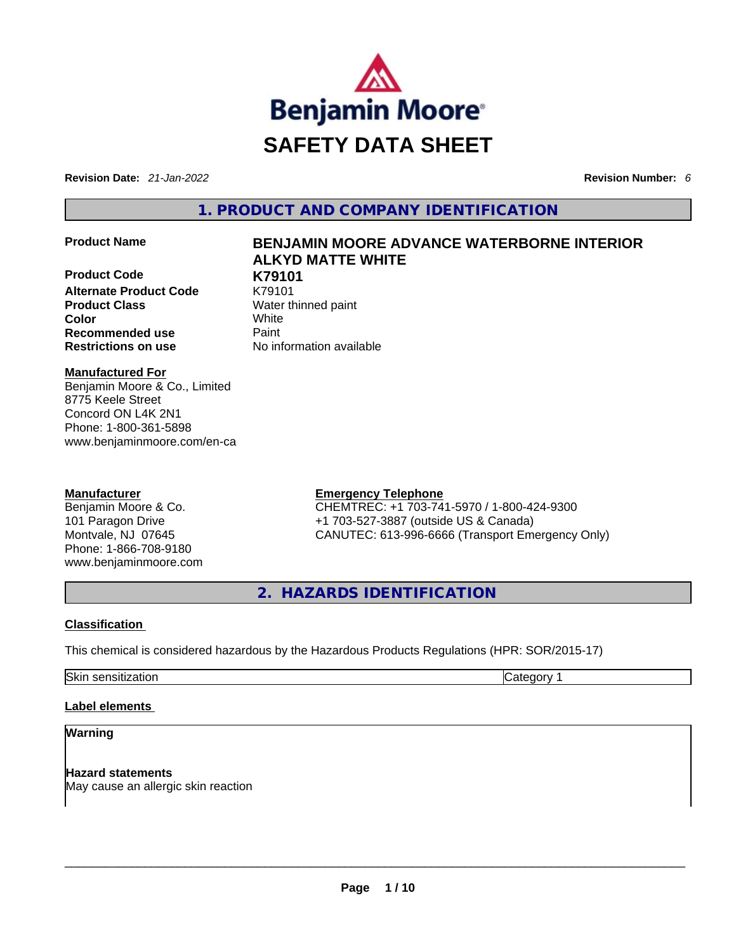

**Revision Date:** *21-Jan-2022* **Revision Number:** *6*

**1. PRODUCT AND COMPANY IDENTIFICATION** 

**Product Code K79101 Alternate Product Code** K79101 **Product Class Water thinned paint Color** White **Recommended use <b>Paint Restrictions on use** No information available

# **Product Name BENJAMIN MOORE ADVANCE WATERBORNE INTERIOR ALKYD MATTE WHITE**

**Manufactured For**

Benjamin Moore & Co., Limited 8775 Keele Street Concord ON L4K 2N1 Phone: 1-800-361-5898 www.benjaminmoore.com/en-ca

## **Manufacturer**

Benjamin Moore & Co. 101 Paragon Drive Montvale, NJ 07645 Phone: 1-866-708-9180 www.benjaminmoore.com

## **Emergency Telephone**

CHEMTREC: +1 703-741-5970 / 1-800-424-9300 +1 703-527-3887 (outside US & Canada) CANUTEC: 613-996-6666 (Transport Emergency Only)

**2. HAZARDS IDENTIFICATION** 

# **Classification**

This chemical is considered hazardous by the Hazardous Products Regulations (HPR: SOR/2015-17)

Skin sensitization **Category 1 Category 1** 

## **Label elements**

# **Warning**

**Hazard statements** May cause an allergic skin reaction \_\_\_\_\_\_\_\_\_\_\_\_\_\_\_\_\_\_\_\_\_\_\_\_\_\_\_\_\_\_\_\_\_\_\_\_\_\_\_\_\_\_\_\_\_\_\_\_\_\_\_\_\_\_\_\_\_\_\_\_\_\_\_\_\_\_\_\_\_\_\_\_\_\_\_\_\_\_\_\_\_\_\_\_\_\_\_\_\_\_\_\_\_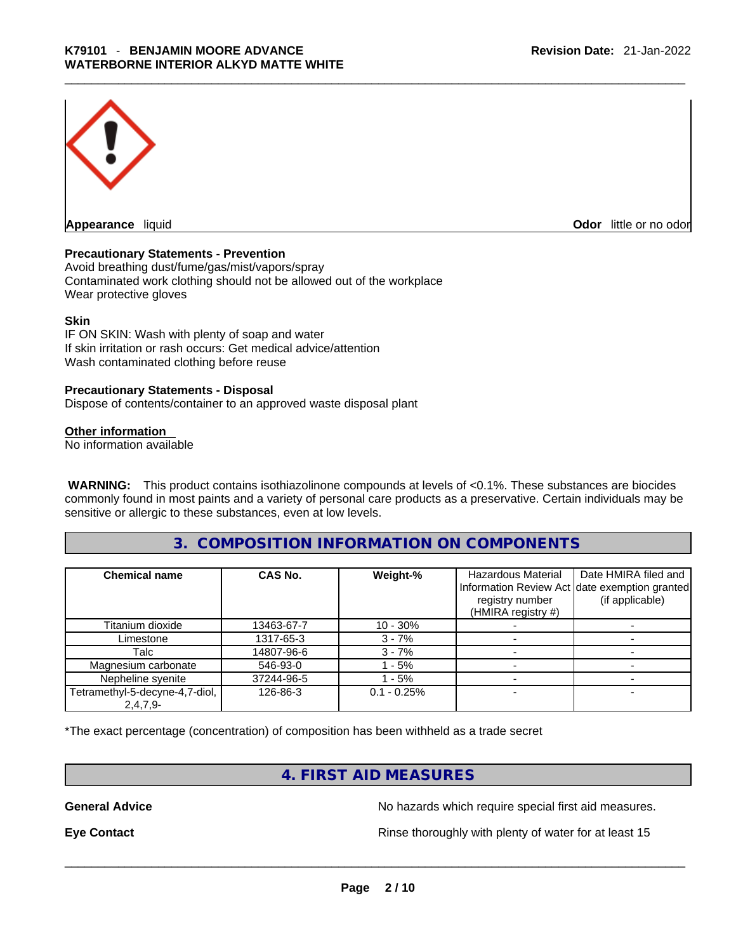

**Appearance** liquid **Odor 11 Construction Odor little or no odor** 

#### **Precautionary Statements - Prevention**

Avoid breathing dust/fume/gas/mist/vapors/spray Contaminated work clothing should not be allowed out of the workplace Wear protective gloves

#### **Skin**

IF ON SKIN: Wash with plenty of soap and water If skin irritation or rash occurs: Get medical advice/attention Wash contaminated clothing before reuse

#### **Precautionary Statements - Disposal**

Dispose of contents/container to an approved waste disposal plant

#### **Other information**

No information available

**WARNING:** This product contains isothiazolinone compounds at levels of <0.1%. These substances are biocides commonly found in most paints and a variety of personal care products as a preservative. Certain individuals may be sensitive or allergic to these substances, even at low levels.

## **3. COMPOSITION INFORMATION ON COMPONENTS**

| <b>Chemical name</b>           | CAS No.    | Weight-%      | <b>Hazardous Material</b><br>registry number<br>(HMIRA registry #) | Date HMIRA filed and<br>Information Review Act date exemption granted<br>(if applicable) |
|--------------------------------|------------|---------------|--------------------------------------------------------------------|------------------------------------------------------------------------------------------|
| Titanium dioxide               | 13463-67-7 | 10 - 30%      |                                                                    |                                                                                          |
| Limestone                      | 1317-65-3  | $3 - 7%$      |                                                                    |                                                                                          |
| Talc                           | 14807-96-6 | $3 - 7%$      |                                                                    |                                                                                          |
| Magnesium carbonate            | 546-93-0   | - 5%          |                                                                    |                                                                                          |
| Nepheline syenite              | 37244-96-5 | - 5%          |                                                                    |                                                                                          |
| Tetramethyl-5-decyne-4,7-diol, | 126-86-3   | $0.1 - 0.25%$ |                                                                    |                                                                                          |
| $2,4,7,9-$                     |            |               |                                                                    |                                                                                          |

\*The exact percentage (concentration) of composition has been withheld as a trade secret

# **4. FIRST AID MEASURES**

**General Advice No hazards which require special first aid measures.** No hazards which require special first aid measures.

**Eye Contact <b>Rinse** thoroughly with plenty of water for at least 15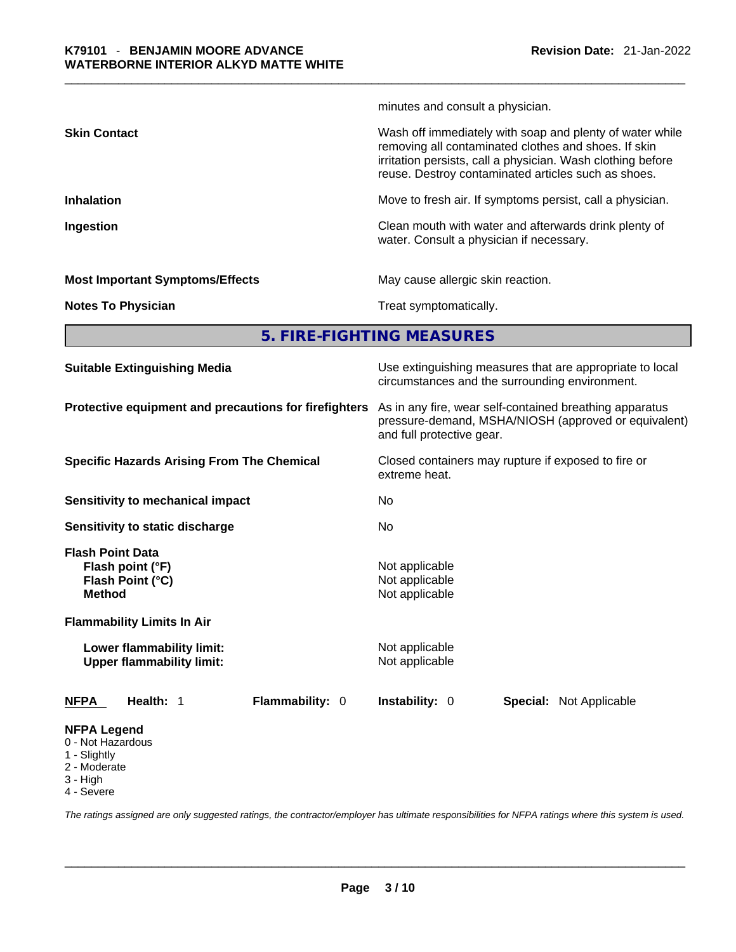|                                        | minutes and consult a physician.                                                                                                                                                                                                       |
|----------------------------------------|----------------------------------------------------------------------------------------------------------------------------------------------------------------------------------------------------------------------------------------|
| <b>Skin Contact</b>                    | Wash off immediately with soap and plenty of water while<br>removing all contaminated clothes and shoes. If skin<br>irritation persists, call a physician. Wash clothing before<br>reuse. Destroy contaminated articles such as shoes. |
| <b>Inhalation</b>                      | Move to fresh air. If symptoms persist, call a physician.                                                                                                                                                                              |
| Ingestion                              | Clean mouth with water and afterwards drink plenty of<br>water. Consult a physician if necessary.                                                                                                                                      |
| <b>Most Important Symptoms/Effects</b> | May cause allergic skin reaction.                                                                                                                                                                                                      |
| <b>Notes To Physician</b>              | Treat symptomatically.                                                                                                                                                                                                                 |

**5. FIRE-FIGHTING MEASURES** 

| <b>Suitable Extinguishing Media</b>                                                                                   | Use extinguishing measures that are appropriate to local<br>circumstances and the surrounding environment.                                   |  |  |
|-----------------------------------------------------------------------------------------------------------------------|----------------------------------------------------------------------------------------------------------------------------------------------|--|--|
| Protective equipment and precautions for firefighters                                                                 | As in any fire, wear self-contained breathing apparatus<br>pressure-demand, MSHA/NIOSH (approved or equivalent)<br>and full protective gear. |  |  |
| <b>Specific Hazards Arising From The Chemical</b>                                                                     | Closed containers may rupture if exposed to fire or<br>extreme heat.<br>No.<br>No                                                            |  |  |
| Sensitivity to mechanical impact                                                                                      |                                                                                                                                              |  |  |
| Sensitivity to static discharge                                                                                       |                                                                                                                                              |  |  |
| <b>Flash Point Data</b><br>Flash point (°F)<br>Flash Point (°C)<br><b>Method</b><br><b>Flammability Limits In Air</b> | Not applicable<br>Not applicable<br>Not applicable                                                                                           |  |  |
| Lower flammability limit:<br><b>Upper flammability limit:</b>                                                         | Not applicable<br>Not applicable                                                                                                             |  |  |
| Health: 1<br>Flammability: 0<br><b>NFPA</b>                                                                           | <b>Instability: 0</b><br><b>Special: Not Applicable</b>                                                                                      |  |  |
| <b>NFPA Legend</b><br>0 - Not Hazardous<br>1 - Slightly<br>2 - Moderate<br>3 - High<br>4 - Severe                     |                                                                                                                                              |  |  |

*The ratings assigned are only suggested ratings, the contractor/employer has ultimate responsibilities for NFPA ratings where this system is used.*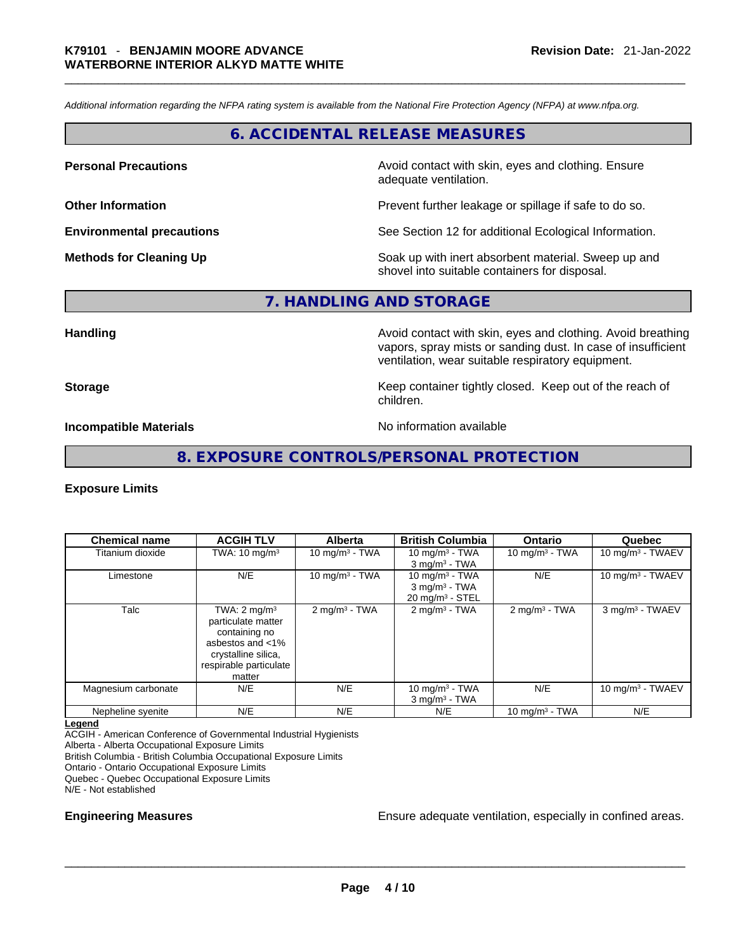*Additional information regarding the NFPA rating system is available from the National Fire Protection Agency (NFPA) at www.nfpa.org.* 

# **6. ACCIDENTAL RELEASE MEASURES**

**Personal Precautions Avoid contact with skin, eyes and clothing. Ensure Personal Precautions** adequate ventilation.

**Other Information Determined Information Prevent further leakage or spillage if safe to do so.** 

**Environmental precautions** See Section 12 for additional Ecological Information.

**Methods for Cleaning Up Soak** up with inert absorbent material. Sweep up and shovel into suitable containers for disposal.

**7. HANDLING AND STORAGE** 

**Handling Handling Avoid contact with skin, eyes and clothing. Avoid breathing** vapors, spray mists or sanding dust. In case of insufficient ventilation, wear suitable respiratory equipment.

**Storage Example 20 Keep container tightly closed. Keep out of the reach of Keep** out of the reach of children.

**Incompatible Materials No information available** 

#### **8. EXPOSURE CONTROLS/PERSONAL PROTECTION**

#### **Exposure Limits**

| <b>Chemical name</b> | <b>ACGIH TLV</b>                                                                                                                              | Alberta                     | <b>British Columbia</b>                                                       | <b>Ontario</b>          | Quebec                       |
|----------------------|-----------------------------------------------------------------------------------------------------------------------------------------------|-----------------------------|-------------------------------------------------------------------------------|-------------------------|------------------------------|
| Titanium dioxide     | TWA: $10 \text{ mg/m}^3$                                                                                                                      | $10 \text{ mg/m}^3$ - TWA   | 10 mg/m $3$ - TWA<br>$3$ mg/m <sup>3</sup> - TWA                              | 10 mg/m $3$ - TWA       | 10 mg/m <sup>3</sup> - TWAEV |
| Limestone            | N/E                                                                                                                                           | 10 mg/m $3$ - TWA           | 10 $mq/m3$ - TWA<br>$3$ mg/m <sup>3</sup> - TWA<br>$20 \text{ mg/m}^3$ - STEL | N/E                     | 10 mg/m <sup>3</sup> - TWAEV |
| Talc                 | TWA: $2 \text{ mg/m}^3$<br>particulate matter<br>containing no<br>asbestos and <1%<br>crystalline silica,<br>respirable particulate<br>matter | $2$ mg/m <sup>3</sup> - TWA | $2$ mg/m <sup>3</sup> - TWA                                                   | $2 \text{mq/m}^3$ - TWA | 3 mg/m <sup>3</sup> - TWAEV  |
| Magnesium carbonate  | N/E                                                                                                                                           | N/E                         | 10 mg/m <sup>3</sup> - TWA<br>$3$ mg/m <sup>3</sup> - TWA                     | N/E                     | 10 mg/m $3$ - TWAEV          |
| Nepheline syenite    | N/E                                                                                                                                           | N/E                         | N/E                                                                           | 10 mg/m $3$ - TWA       | N/E                          |

**Legend**

ACGIH - American Conference of Governmental Industrial Hygienists

Alberta - Alberta Occupational Exposure Limits

British Columbia - British Columbia Occupational Exposure Limits

Ontario - Ontario Occupational Exposure Limits

Quebec - Quebec Occupational Exposure Limits

N/E - Not established

**Engineering Measures Engineering Measures Ensure adequate ventilation**, especially in confined areas.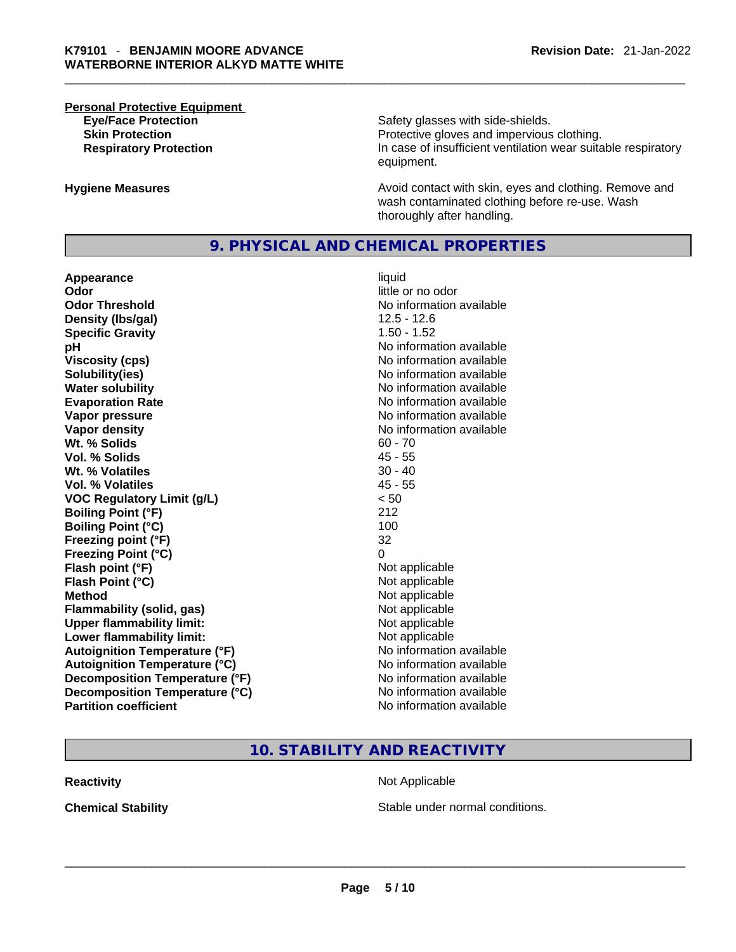# **Personal Protective Equipment**

**Eye/Face Protection Safety glasses with side-shields. Skin Protection Protection Protective gloves and impervious clothing. Respiratory Protection In case of insufficient ventilation wear suitable respiratory** equipment.

**Hygiene Measures Avoid contact with skin, eyes and clothing. Remove and Avoid contact with skin, eyes and clothing. Remove and Avoid contact with skin, eyes and clothing. Remove and** wash contaminated clothing before re-use. Wash thoroughly after handling.

## **9. PHYSICAL AND CHEMICAL PROPERTIES**

**Appearance** liquid **Odor** little or no odor **Odor Threshold** No information available **Density (lbs/gal)** 12.5 - 12.6 **Specific Gravity** 1.50 - 1.52 **pH bH** *pH* **Viscosity (cps) Viscosity (cps) No information available Solubility(ies)** No information available in the solution of the solution of the solution available in the solution of the solution of the solution of the solution of the solution of the solution of the solution of the so **Water solubility No information available No information available Evaporation Rate No information available No information available Vapor pressure**  No information available **Vapor pressure No information available Vapor density**<br> **We Solids**<br>
We Solids **We Solid Solid Solid Solid Solid Solid Solid Solid Solid Solid Solid Solid Solid Solid Solid Solid Solid Solid Solid Solid Solid Solid Solid Solid Solid Solid Solid Solid Solid Soli Wt. % Solids** 60 - 70 **Vol. % Solids Wt. % Volatiles** 30 - 40 **Vol. % Volatiles** 45 - 55 **VOC Regulatory Limit (g/L)** < 50 **Boiling Point (°F)** 212 **Boiling Point (°C)** 100 **Freezing point (°F)** 32 **Freezing Point (°C)** 0 **Flash point (°F)**<br> **Flash Point (°C)**<br> **Flash Point (°C)**<br> **C Flash Point (°C) Method** Not applicable **Flammability (solid, gas)** Not applicable **Upper flammability limit:**<br> **Lower flammability limit:** Not applicable Not applicable **Lower flammability limit: Autoignition Temperature (°F)** No information available **Autoignition Temperature (°C)** No information available **Decomposition Temperature (°F)** No information available **Decomposition Temperature (°C)** No information available **Partition coefficient** No information available

# **10. STABILITY AND REACTIVITY**

**Reactivity Not Applicable Not Applicable** 

**Chemical Stability** Stable under normal conditions. \_\_\_\_\_\_\_\_\_\_\_\_\_\_\_\_\_\_\_\_\_\_\_\_\_\_\_\_\_\_\_\_\_\_\_\_\_\_\_\_\_\_\_\_\_\_\_\_\_\_\_\_\_\_\_\_\_\_\_\_\_\_\_\_\_\_\_\_\_\_\_\_\_\_\_\_\_\_\_\_\_\_\_\_\_\_\_\_\_\_\_\_\_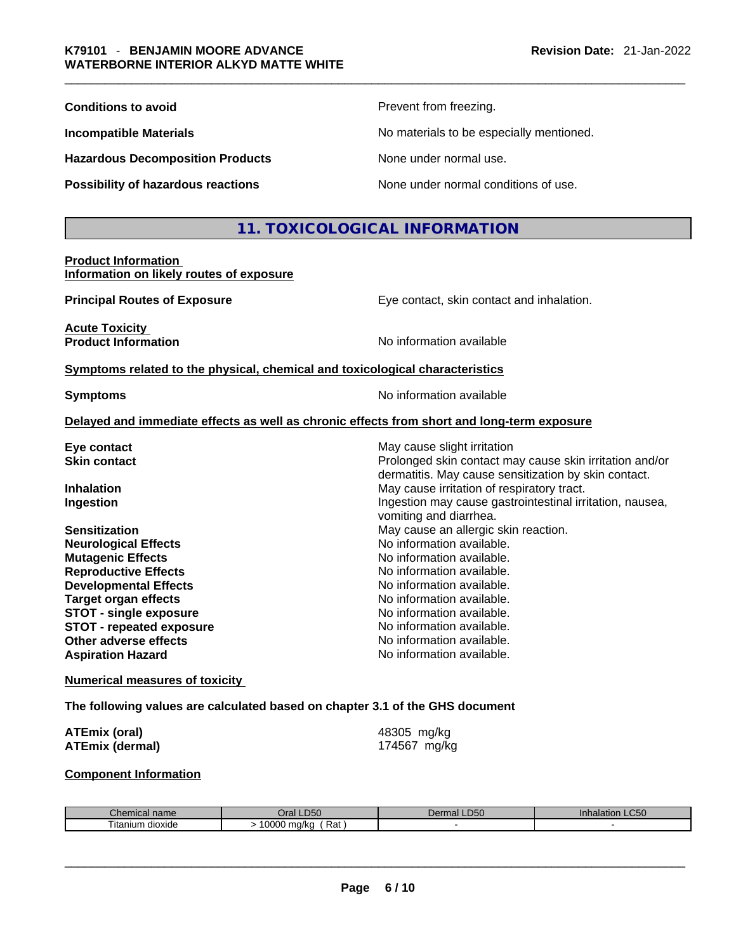| <b>Conditions to avoid</b>              | Prevent from freezing.                   |
|-----------------------------------------|------------------------------------------|
| <b>Incompatible Materials</b>           | No materials to be especially mentioned. |
| <b>Hazardous Decomposition Products</b> | None under normal use.                   |
| Possibility of hazardous reactions      | None under normal conditions of use.     |

# **11. TOXICOLOGICAL INFORMATION**

#### **Product Information Information on likely routes of exposure**

**Acute Toxicity** 

**Principal Routes of Exposure Exposure** Eye contact, skin contact and inhalation.

dermatitis. May cause sensitization by skin contact.

Ingestion may cause gastrointestinal irritation, nausea,

**Product Information Internation International Contract Contract Contract Contract Contract Contract Contract Contract Contract Contract Contract Contract Contract Contract Contract Contract Contract Contract Contract** 

#### **Symptoms related to the physical,chemical and toxicological characteristics**

**Symptoms Symptoms No information available** 

vomiting and diarrhea.

#### **Delayed and immediate effects as well as chronic effects from short and long-term exposure**

**Eye contact**  Even contact **Exercise Structure in the May cause slight irritation Skin contact** Prolonged skin contact may cause skin irritation and/or

**Inhalation** May cause irritation of respiratory tract.

**Sensitization May cause an allergic skin reaction.** May cause an allergic skin reaction. **Neurological Effects** No information available. **Mutagenic Effects Mutagenic Effects No information available. Reproductive Effects No information available. Developmental Effects No information available. Target organ effects No information available.** No information available. **STOT** - single exposure **Notation Notation** No information available. **STOT** - **repeated exposure** No information available. **Other adverse effects No information available. Aspiration Hazard**  No information available.

#### **Numerical measures of toxicity**

**The following values are calculated based on chapter 3.1 of the GHS document**

| <b>ATEmix (oral)</b>   | 48305 mg/kg  |
|------------------------|--------------|
| <b>ATEmix (dermal)</b> | 174567 mg/kg |

#### **Component Information**

| Chemical name     | <b>D50</b><br>Jral   | $D^{\prime}$<br>Dermal<br>-LCU | $\sim$ $\sim$ $\sim$<br>ınnaıat<br>on LU50 |
|-------------------|----------------------|--------------------------------|--------------------------------------------|
| l itanıum dioxide | Rat<br>0000<br>ma/ka |                                |                                            |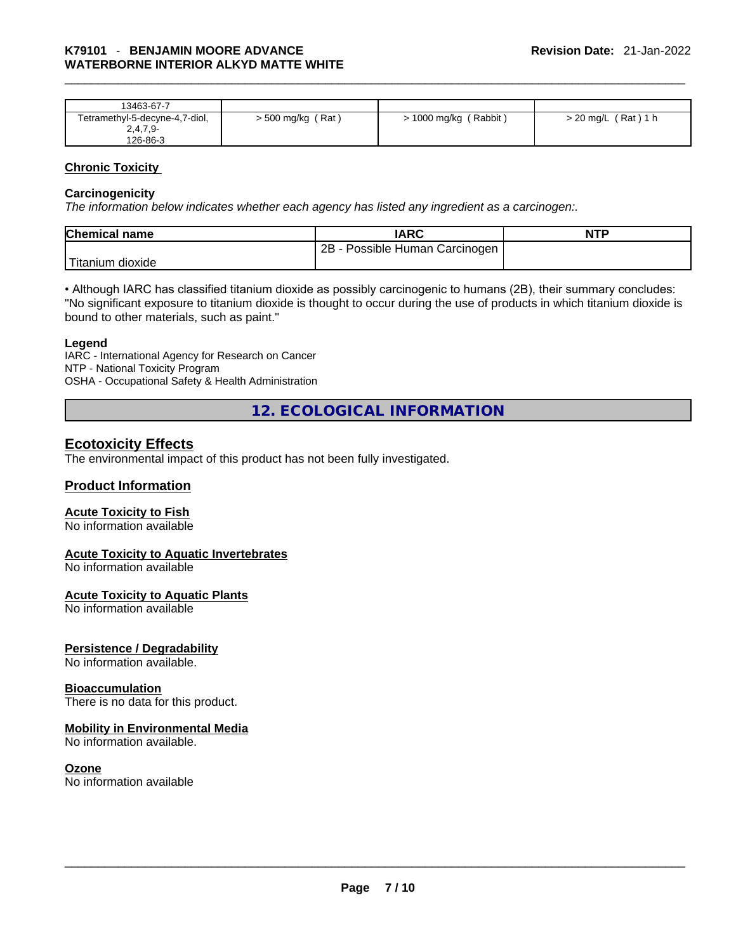| 13463-67-7                     |                     |                         |                       |
|--------------------------------|---------------------|-------------------------|-----------------------|
| Tetramethyl-5-decyne-4,7-diol, | $>$ 500 mg/kg (Rat) | $> 1000$ mg/kg (Rabbit) | $>$ 20 mg/L (Rat) 1 h |
| $2,4,7,9-$                     |                     |                         |                       |
| 126-86-3                       |                     |                         |                       |

#### **Chronic Toxicity**

#### **Carcinogenicity**

*The information below indicates whether each agency has listed any ingredient as a carcinogen:.* 

| <b>Chemical name</b>          | <b>IARC</b>                     | <b>NTP</b> |
|-------------------------------|---------------------------------|------------|
|                               | 2B<br>Possible Human Carcinogen |            |
| <sup>I</sup> Titanium dioxide |                                 |            |

• Although IARC has classified titanium dioxide as possibly carcinogenic to humans (2B), their summary concludes: "No significant exposure to titanium dioxide is thought to occur during the use of products in which titanium dioxide is bound to other materials, such as paint."

#### **Legend**

IARC - International Agency for Research on Cancer NTP - National Toxicity Program OSHA - Occupational Safety & Health Administration

**12. ECOLOGICAL INFORMATION** 

# **Ecotoxicity Effects**

The environmental impact of this product has not been fully investigated.

## **Product Information**

## **Acute Toxicity to Fish**

No information available

## **Acute Toxicity to Aquatic Invertebrates**

No information available

## **Acute Toxicity to Aquatic Plants**

No information available

## **Persistence / Degradability**

No information available.

#### **Bioaccumulation**

There is no data for this product.

## **Mobility in Environmental Media**

No information available.

**Ozone**<br>No information available No information available<br>  $\blacksquare$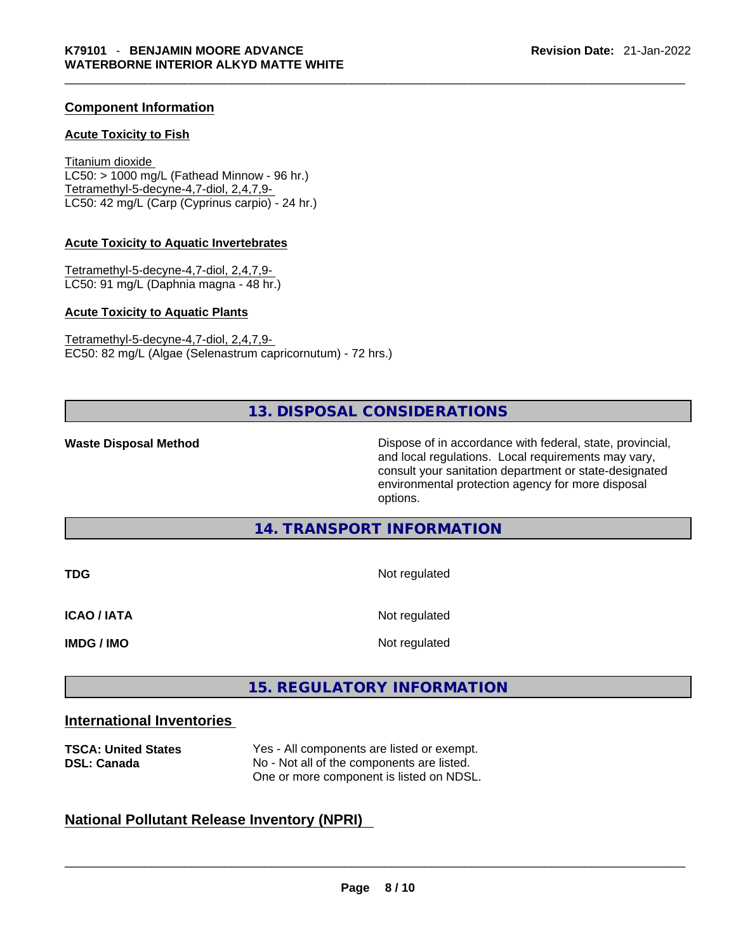## **Component Information**

#### **Acute Toxicity to Fish**

Titanium dioxide  $LC50:$  > 1000 mg/L (Fathead Minnow - 96 hr.) Tetramethyl-5-decyne-4,7-diol, 2,4,7,9- LC50: 42 mg/L (Carp (Cyprinus carpio) - 24 hr.)

#### **Acute Toxicity to Aquatic Invertebrates**

Tetramethyl-5-decyne-4,7-diol, 2,4,7,9- LC50: 91 mg/L (Daphnia magna - 48 hr.)

#### **Acute Toxicity to Aquatic Plants**

Tetramethyl-5-decyne-4,7-diol, 2,4,7,9- EC50: 82 mg/L (Algae (Selenastrum capricornutum) - 72 hrs.)

# **13. DISPOSAL CONSIDERATIONS**

**Waste Disposal Method** Dispose of in accordance with federal, state, provincial, and local regulations. Local requirements may vary, consult your sanitation department or state-designated environmental protection agency for more disposal options.

# **14. TRANSPORT INFORMATION**

| <b>TDG</b>         | Not regulated |
|--------------------|---------------|
| <b>ICAO / IATA</b> | Not regulated |
| <b>IMDG / IMO</b>  | Not regulated |

# **15. REGULATORY INFORMATION**

# **International Inventories**

| <b>TSCA: United States</b><br><b>DSL: Canada</b>   | Yes - All components are listed or exempt.<br>No - Not all of the components are listed.<br>One or more component is listed on NDSL. |  |  |
|----------------------------------------------------|--------------------------------------------------------------------------------------------------------------------------------------|--|--|
| <b>National Pollutant Release Inventory (NPRI)</b> |                                                                                                                                      |  |  |

# **National Pollutant Release Inventory (NPRI)**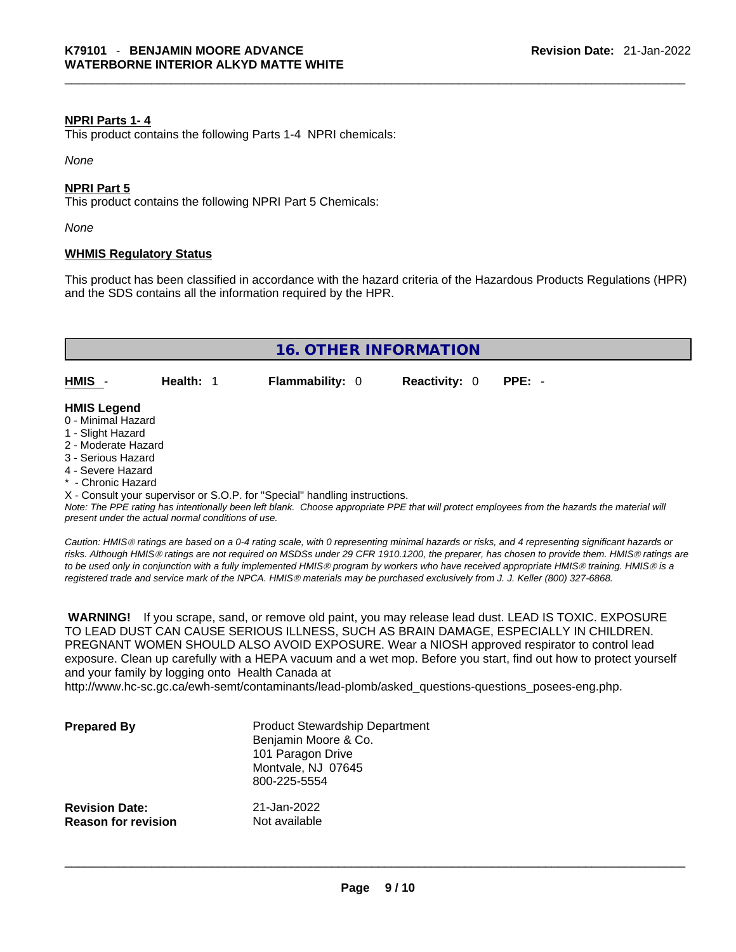#### **NPRI Parts 1- 4**

This product contains the following Parts 1-4 NPRI chemicals:

*None*

#### **NPRI Part 5**

This product contains the following NPRI Part 5 Chemicals:

*None*

#### **WHMIS Regulatory Status**

This product has been classified in accordance with the hazard criteria of the Hazardous Products Regulations (HPR) and the SDS contains all the information required by the HPR.



- Chronic Hazard

X - Consult your supervisor or S.O.P. for "Special" handling instructions.

Note: The PPE rating has intentionally been left blank. Choose appropriate PPE that will protect employees from the hazards the material will *present under the actual normal conditions of use.* 

*Caution: HMISÒ ratings are based on a 0-4 rating scale, with 0 representing minimal hazards or risks, and 4 representing significant hazards or risks. Although HMISÒ ratings are not required on MSDSs under 29 CFR 1910.1200, the preparer, has chosen to provide them. HMISÒ ratings are to be used only in conjunction with a fully implemented HMISÒ program by workers who have received appropriate HMISÒ training. HMISÒ is a registered trade and service mark of the NPCA. HMISÒ materials may be purchased exclusively from J. J. Keller (800) 327-6868.* 

 **WARNING!** If you scrape, sand, or remove old paint, you may release lead dust. LEAD IS TOXIC. EXPOSURE TO LEAD DUST CAN CAUSE SERIOUS ILLNESS, SUCH AS BRAIN DAMAGE, ESPECIALLY IN CHILDREN. PREGNANT WOMEN SHOULD ALSO AVOID EXPOSURE.Wear a NIOSH approved respirator to control lead exposure. Clean up carefully with a HEPA vacuum and a wet mop. Before you start, find out how to protect yourself and your family by logging onto Health Canada at

http://www.hc-sc.gc.ca/ewh-semt/contaminants/lead-plomb/asked\_questions-questions\_posees-eng.php.

| <b>Prepared By</b>                                  | <b>Product Stewardship Department</b><br>Benjamin Moore & Co.<br>101 Paragon Drive<br>Montvale, NJ 07645<br>800-225-5554 |  |
|-----------------------------------------------------|--------------------------------------------------------------------------------------------------------------------------|--|
| <b>Revision Date:</b><br><b>Reason for revision</b> | 21-Jan-2022<br>Not available                                                                                             |  |